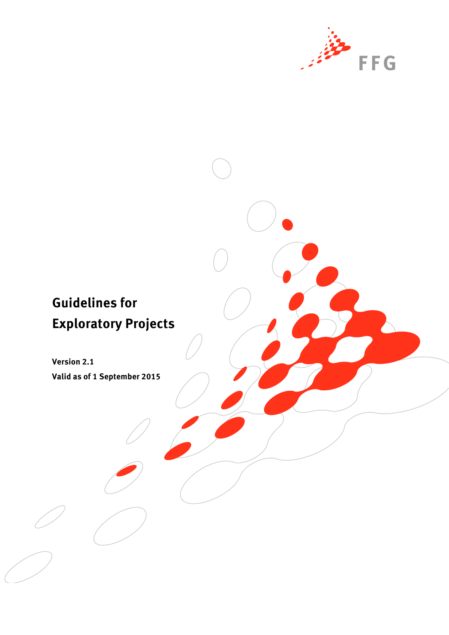

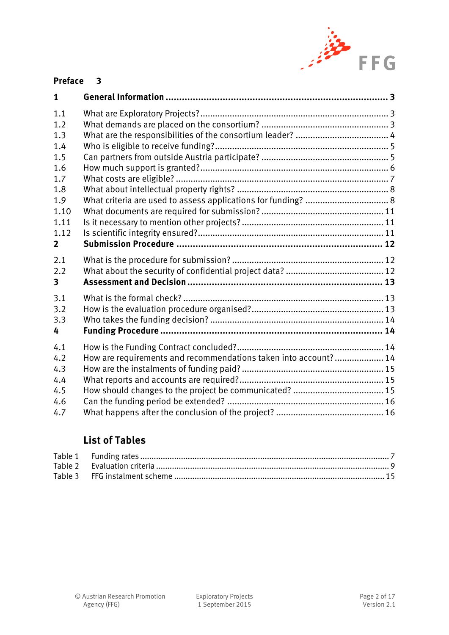

### **[Preface](#page-2-0) 3**

| $\mathbf{1}$ |                                                                 |  |
|--------------|-----------------------------------------------------------------|--|
| 1.1          |                                                                 |  |
| 1.2          |                                                                 |  |
| 1.3          |                                                                 |  |
| 1.4          |                                                                 |  |
| 1.5          |                                                                 |  |
| 1.6          |                                                                 |  |
| 1.7          |                                                                 |  |
| 1.8          |                                                                 |  |
| 1.9          |                                                                 |  |
| 1.10         |                                                                 |  |
| 1.11         |                                                                 |  |
| 1.12         |                                                                 |  |
| $\mathbf{2}$ |                                                                 |  |
| 2.1          |                                                                 |  |
| 2.2          |                                                                 |  |
| 3            |                                                                 |  |
| 3.1          |                                                                 |  |
| 3.2          |                                                                 |  |
| 3.3          |                                                                 |  |
| 4            |                                                                 |  |
| 4.1          |                                                                 |  |
| 4.2          | How are requirements and recommendations taken into account? 14 |  |
| 4.3          |                                                                 |  |
| 4.4          |                                                                 |  |
| 4.5          |                                                                 |  |
| 4.6          |                                                                 |  |
| 4.7          |                                                                 |  |

# **List of Tables**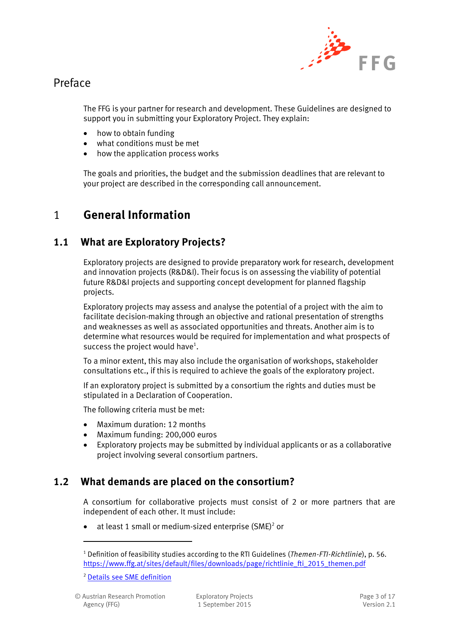

# <span id="page-2-0"></span>Preface

The FFG is your partner for research and development. These Guidelines are designed to support you in submitting your Exploratory Project. They explain:

- how to obtain funding
- what conditions must be met
- how the application process works

The goals and priorities, the budget and the submission deadlines that are relevant to your project are described in the corresponding call announcement.

# <span id="page-2-1"></span>1 **General Information**

## <span id="page-2-2"></span>**1.1 What are Exploratory Projects?**

Exploratory projects are designed to provide preparatory work for research, development and innovation projects (R&D&I). Their focus is on assessing the viability of potential future R&D&I projects and supporting concept development for planned flagship projects.

Exploratory projects may assess and analyse the potential of a project with the aim to facilitate decision-making through an objective and rational presentation of strengths and weaknesses as well as associated opportunities and threats. Another aim is to determine what resources would be required for implementation and what prospects of success the project would have $^1$ .

To a minor extent, this may also include the organisation of workshops, stakeholder consultations etc., if this is required to achieve the goals of the exploratory project.

If an exploratory project is submitted by a consortium the rights and duties must be stipulated in a Declaration of Cooperation.

The following criteria must be met:

- Maximum duration: 12 months
- Maximum funding: 200,000 euros
- Exploratory projects may be submitted by individual applicants or as a collaborative project involving several consortium partners.

## <span id="page-2-3"></span>**1.2 What demands are placed on the consortium?**

A consortium for collaborative projects must consist of 2 or more partners that are independent of each other. It must include:

 $\bullet$  at least 1 small or medium-sized enterprise (SME)<sup>2</sup> or

<sup>2</sup> [Details see SME definition](https://www.ffg.at/recht-finanzen/rechtliches_service_KMU)

<sup>1</sup> Definition of feasibility studies according to the RTI Guidelines (*Themen-FTI-Richtlinie*), p. 56. [https://www.ffg.at/sites/default/files/downloads/page/richtlinie\\_fti\\_2015\\_themen.pdf](https://www.ffg.at/sites/default/files/downloads/page/richtlinie_fti_2015_themen.pdf)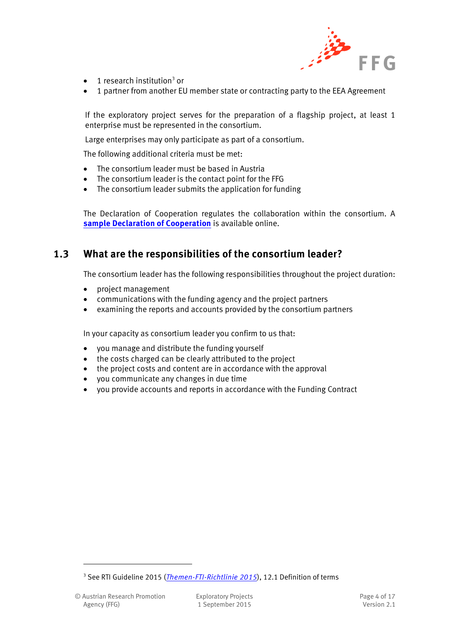

- $\bullet$  1 research institution<sup>3</sup> or
- 1 partner from another EU member state or contracting party to the EEA Agreement

If the exploratory project serves for the preparation of a flagship project, at least 1 enterprise must be represented in the consortium.

Large enterprises may only participate as part of a consortium.

The following additional criteria must be met:

- The consortium leader must be based in Austria
- The consortium leader is the contact point for the FFG
- The consortium leader submits the application for funding

The Declaration of Cooperation regulates the collaboration within the consortium. A **[sample Declaration of Cooperation](http://www.ffg.at/konsortialvertrag)** is available online.

#### <span id="page-3-0"></span>**1.3 What are the responsibilities of the consortium leader?**

The consortium leader has the following responsibilities throughout the project duration:

- project management
- communications with the funding agency and the project partners
- examining the reports and accounts provided by the consortium partners

In your capacity as consortium leader you confirm to us that:

- you manage and distribute the funding yourself
- the costs charged can be clearly attributed to the project
- the project costs and content are in accordance with the approval
- you communicate any changes in due time
- you provide accounts and reports in accordance with the Funding Contract

<sup>&</sup>lt;sup>3</sup> See RTI Guideline 2015 (*[Themen-FTI-Richtlinie 2015](https://www.ffg.at/sites/default/files/downloads/page/richtlinie_fti_2015_themen.pdf)*), 12.1 Definition of terms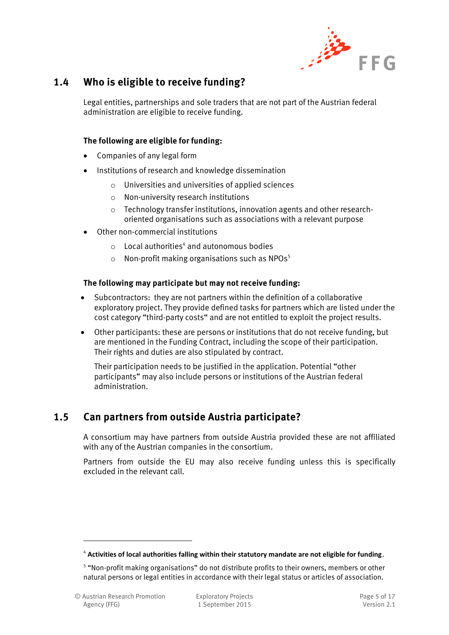

## <span id="page-4-0"></span>**1.4 Who is eligible to receive funding?**

Legal entities, partnerships and sole traders that are not part of the Austrian federal administration are eligible to receive funding.

#### **The following are eligible for funding:**

- Companies of any legal form
- Institutions of research and knowledge dissemination
	- o Universities and universities of applied sciences
	- o Non-university research institutions
	- o Technology transfer institutions, innovation agents and other researchoriented organisations such as associations with a relevant purpose
- Other non-commercial institutions
	- $\circ$  Local authorities<sup>4</sup> and autonomous bodies
	- $\circ$  Non-profit making organisations such as NPOs<sup>5</sup>

#### **The following may participate but may not receive funding:**

- Subcontractors: they are not partners within the definition of a collaborative exploratory project. They provide defined tasks for partners which are listed under the cost category "third-party costs" and are not entitled to exploit the project results.
- Other participants: these are persons or institutions that do not receive funding, but are mentioned in the Funding Contract, including the scope of their participation. Their rights and duties are also stipulated by contract.

Their participation needs to be justified in the application. Potential "other participants" may also include persons or institutions of the Austrian federal administration.

#### <span id="page-4-1"></span>**1.5 Can partners from outside Austria participate?**

A consortium may have partners from outside Austria provided these are not affiliated with any of the Austrian companies in the consortium.

Partners from outside the EU may also receive funding unless this is specifically excluded in the relevant call.

<sup>4</sup> **Activities of local authorities falling within their statutory mandate are not eligible for funding**.

<sup>&</sup>lt;sup>5</sup> "Non-profit making organisations" do not distribute profits to their owners, members or other natural persons or legal entities in accordance with their legal status or articles of association.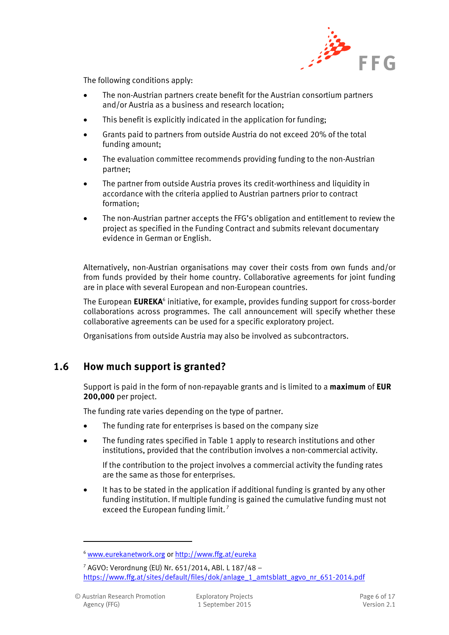

The following conditions apply:

- The non-Austrian partners create benefit for the Austrian consortium partners and/or Austria as a business and research location;
- This benefit is explicitly indicated in the application for funding;
- Grants paid to partners from outside Austria do not exceed 20% of the total funding amount;
- The evaluation committee recommends providing funding to the non-Austrian partner;
- The partner from outside Austria proves its credit-worthiness and liquidity in accordance with the criteria applied to Austrian partners prior to contract formation;
- The non-Austrian partner accepts the FFG's obligation and entitlement to review the project as specified in the Funding Contract and submits relevant documentary evidence in German or English.

Alternatively, non-Austrian organisations may cover their costs from own funds and/or from funds provided by their home country. Collaborative agreements for joint funding are in place with several European and non-European countries.

The European EUREKA<sup>6</sup> initiative, for example, provides funding support for cross-border collaborations across programmes. The call announcement will specify whether these collaborative agreements can be used for a specific exploratory project.

Organisations from outside Austria may also be involved as subcontractors.

#### <span id="page-5-0"></span>**1.6 How much support is granted?**

Support is paid in the form of non-repayable grants and is limited to a **maximum** of **EUR 200,000** per project.

The funding rate varies depending on the type of partner.

- The funding rate for enterprises is based on the company size
- The funding rates specified in Table 1 apply to research institutions and other institutions, provided that the contribution involves a non-commercial activity.

If the contribution to the project involves a commercial activity the funding rates are the same as those for enterprises.

• It has to be stated in the application if additional funding is granted by any other funding institution. If multiple funding is gained the cumulative funding must not exceed the European funding limit.<sup>7</sup>

<sup>6</sup> [www.eurekanetwork.org](http://www.eurekanetwork.org/) or <http://www.ffg.at/eureka>

<sup>7</sup> AGVO: Verordnung (EU) Nr. 651/2014, ABl. L 187/48 – [https://www.ffg.at/sites/default/files/dok/anlage\\_1\\_amtsblatt\\_agvo\\_nr\\_651-2014.pdf](https://www.ffg.at/sites/default/files/dok/anlage_1_amtsblatt_agvo_nr_651-2014.pdf)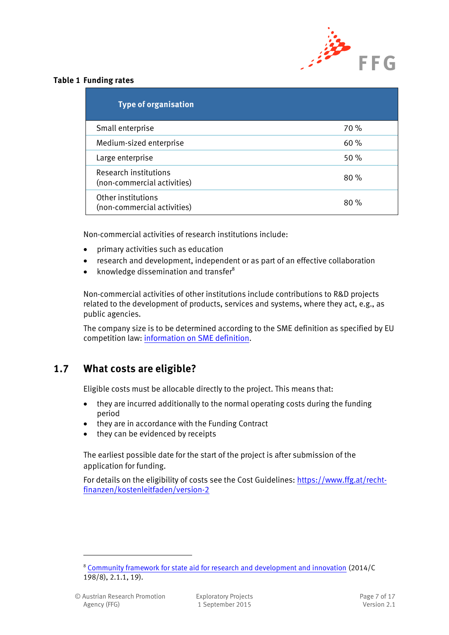

#### <span id="page-6-1"></span>**Table 1 Funding rates**

| <b>Type of organisation</b>                          |     |
|------------------------------------------------------|-----|
| Small enterprise                                     | 70% |
| Medium-sized enterprise                              | 60% |
| Large enterprise                                     | 50% |
| Research institutions<br>(non-commercial activities) | 80% |
| Other institutions<br>(non-commercial activities)    | 80% |

Non-commercial activities of research institutions include:

- primary activities such as education
- research and development, independent or as part of an effective collaboration
- knowledge dissemination and transfer<sup>8</sup>

Non-commercial activities of other institutions include contributions to R&D projects related to the development of products, services and systems, where they act, e.g., as public agencies.

The company size is to be determined according to the SME definition as specified by EU competition law: [information on SME definition.](https://www.ffg.at/recht-finanzen/rechtliches_service_KMU)

#### <span id="page-6-0"></span>**1.7 What costs are eligible?**

Eligible costs must be allocable directly to the project. This means that:

- they are incurred additionally to the normal operating costs during the funding period
- they are in accordance with the Funding Contract
- they can be evidenced by receipts

The earliest possible date for the start of the project is after submission of the application for funding.

For details on the eligibility of costs see the Cost Guidelines: [https://www.ffg.at/recht](https://www.ffg.at/recht-finanzen/kostenleitfaden/version-2)[finanzen/kostenleitfaden/version-2](https://www.ffg.at/recht-finanzen/kostenleitfaden/version-2)

<sup>8</sup> [Community framework for state aid for research and development and innovation](https://www.ffg.at/sites/default/files/dok/anlage_2_amtsblatt_f_e_i_unionsrahmen.pdf) (2014/C 198/8), 2.1.1, 19).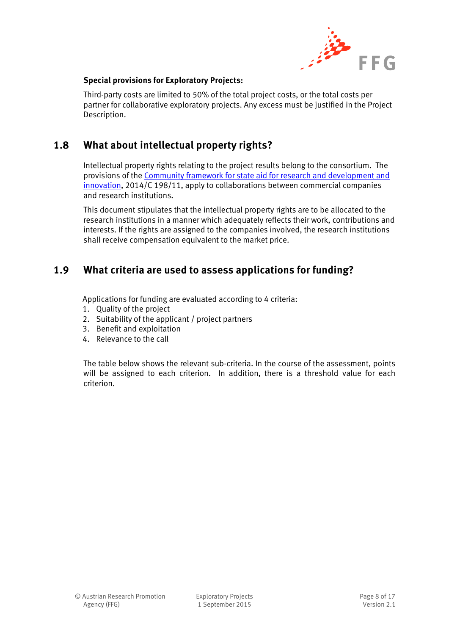

#### **Special provisions for Exploratory Projects:**

Third-party costs are limited to 50% of the total project costs, or the total costs per partner for collaborative exploratory projects. Any excess must be justified in the Project Description.

## <span id="page-7-0"></span>**1.8 What about intellectual property rights?**

Intellectual property rights relating to the project results belong to the consortium. The provisions of the [Community framework for state aid for research and development and](http://eur-lex.europa.eu/legal-content/DE/TXT/PDF/?uri=CELEX:52014XC0627(01)&from=DE)  [innovation,](http://eur-lex.europa.eu/legal-content/DE/TXT/PDF/?uri=CELEX:52014XC0627(01)&from=DE) 2014/C 198/11, apply to collaborations between commercial companies and research institutions.

This document stipulates that the intellectual property rights are to be allocated to the research institutions in a manner which adequately reflects their work, contributions and interests. If the rights are assigned to the companies involved, the research institutions shall receive compensation equivalent to the market price.

### <span id="page-7-1"></span>**1.9 What criteria are used to assess applications for funding?**

Applications for funding are evaluated according to 4 criteria:

- 1. Quality of the project
- 2. Suitability of the applicant / project partners
- 3. Benefit and exploitation
- 4. Relevance to the call

The table below shows the relevant sub-criteria. In the course of the assessment, points will be assigned to each criterion. In addition, there is a threshold value for each criterion.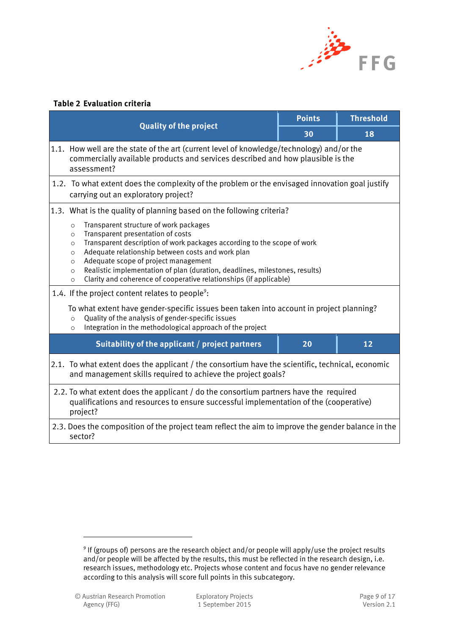

#### <span id="page-8-0"></span>**Table 2 Evaluation criteria**

|                                                                                                               |                                                                                                                                                                                                                                                                                                                                                                                                                                                                                                                                                                                                                                                                                                                                                                                          | <b>Points</b> | <b>Threshold</b> |  |
|---------------------------------------------------------------------------------------------------------------|------------------------------------------------------------------------------------------------------------------------------------------------------------------------------------------------------------------------------------------------------------------------------------------------------------------------------------------------------------------------------------------------------------------------------------------------------------------------------------------------------------------------------------------------------------------------------------------------------------------------------------------------------------------------------------------------------------------------------------------------------------------------------------------|---------------|------------------|--|
|                                                                                                               | <b>Quality of the project</b>                                                                                                                                                                                                                                                                                                                                                                                                                                                                                                                                                                                                                                                                                                                                                            | 30            | 18               |  |
|                                                                                                               | 1.1. How well are the state of the art (current level of knowledge/technology) and/or the<br>commercially available products and services described and how plausible is the<br>assessment?                                                                                                                                                                                                                                                                                                                                                                                                                                                                                                                                                                                              |               |                  |  |
|                                                                                                               | 1.2. To what extent does the complexity of the problem or the envisaged innovation goal justify<br>carrying out an exploratory project?                                                                                                                                                                                                                                                                                                                                                                                                                                                                                                                                                                                                                                                  |               |                  |  |
|                                                                                                               | 1.3. What is the quality of planning based on the following criteria?                                                                                                                                                                                                                                                                                                                                                                                                                                                                                                                                                                                                                                                                                                                    |               |                  |  |
|                                                                                                               | Transparent structure of work packages<br>$\circ$<br>Transparent presentation of costs<br>$\circ$<br>Transparent description of work packages according to the scope of work<br>$\circ$<br>Adequate relationship between costs and work plan<br>$\circ$<br>Adequate scope of project management<br>$\circ$<br>Realistic implementation of plan (duration, deadlines, milestones, results)<br>$\circ$<br>Clarity and coherence of cooperative relationships (if applicable)<br>$\circ$<br>1.4. If the project content relates to people <sup>9</sup> :<br>To what extent have gender-specific issues been taken into account in project planning?<br>Quality of the analysis of gender-specific issues<br>$\circ$<br>Integration in the methodological approach of the project<br>$\circ$ |               |                  |  |
|                                                                                                               | Suitability of the applicant / project partners                                                                                                                                                                                                                                                                                                                                                                                                                                                                                                                                                                                                                                                                                                                                          | 20            | 12               |  |
|                                                                                                               | 2.1. To what extent does the applicant / the consortium have the scientific, technical, economic<br>and management skills required to achieve the project goals?                                                                                                                                                                                                                                                                                                                                                                                                                                                                                                                                                                                                                         |               |                  |  |
|                                                                                                               | 2.2. To what extent does the applicant / do the consortium partners have the required<br>qualifications and resources to ensure successful implementation of the (cooperative)<br>project?                                                                                                                                                                                                                                                                                                                                                                                                                                                                                                                                                                                               |               |                  |  |
| 2.3. Does the composition of the project team reflect the aim to improve the gender balance in the<br>sector? |                                                                                                                                                                                                                                                                                                                                                                                                                                                                                                                                                                                                                                                                                                                                                                                          |               |                  |  |

-

<sup>&</sup>lt;sup>9</sup> If (groups of) persons are the research object and/or people will apply/use the project results and/or people will be affected by the results, this must be reflected in the research design, i.e. research issues, methodology etc. Projects whose content and focus have no gender relevance according to this analysis will score full points in this subcategory.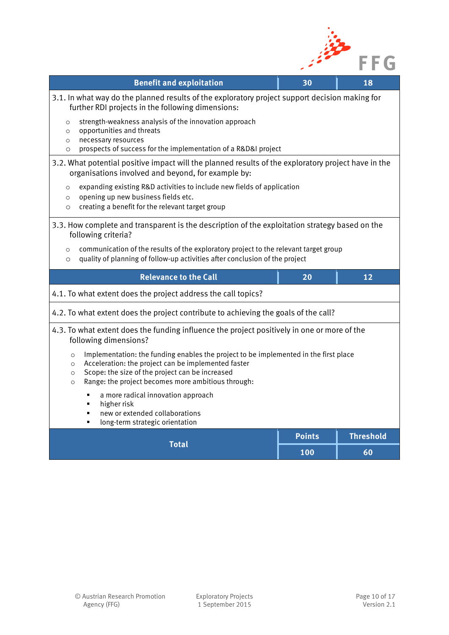

| <b>Benefit and exploitation</b>                                                                                                                                                                                                                                                                   | 30            | 18               |  |
|---------------------------------------------------------------------------------------------------------------------------------------------------------------------------------------------------------------------------------------------------------------------------------------------------|---------------|------------------|--|
| 3.1. In what way do the planned results of the exploratory project support decision making for<br>further RDI projects in the following dimensions:                                                                                                                                               |               |                  |  |
| strength-weakness analysis of the innovation approach<br>$\circ$<br>opportunities and threats<br>$\circ$<br>necessary resources<br>$\circ$<br>prospects of success for the implementation of a R&D&I project<br>$\circ$                                                                           |               |                  |  |
| 3.2. What potential positive impact will the planned results of the exploratory project have in the<br>organisations involved and beyond, for example by:                                                                                                                                         |               |                  |  |
| expanding existing R&D activities to include new fields of application<br>$\circ$<br>opening up new business fields etc.<br>$\circ$<br>creating a benefit for the relevant target group<br>$\circ$                                                                                                |               |                  |  |
| 3.3. How complete and transparent is the description of the exploitation strategy based on the<br>following criteria?                                                                                                                                                                             |               |                  |  |
| communication of the results of the exploratory project to the relevant target group<br>$\circ$<br>quality of planning of follow-up activities after conclusion of the project<br>$\circ$                                                                                                         |               |                  |  |
| <b>Relevance to the Call</b>                                                                                                                                                                                                                                                                      | 20            | 12               |  |
| 4.1. To what extent does the project address the call topics?                                                                                                                                                                                                                                     |               |                  |  |
| 4.2. To what extent does the project contribute to achieving the goals of the call?                                                                                                                                                                                                               |               |                  |  |
| 4.3. To what extent does the funding influence the project positively in one or more of the<br>following dimensions?                                                                                                                                                                              |               |                  |  |
| Implementation: the funding enables the project to be implemented in the first place<br>$\circ$<br>Acceleration: the project can be implemented faster<br>$\circ$<br>Scope: the size of the project can be increased<br>$\circ$<br>Range: the project becomes more ambitious through:<br>$\Omega$ |               |                  |  |
| a more radical innovation approach<br>٠<br>higher risk<br>×,<br>new or extended collaborations<br>٠<br>long-term strategic orientation<br>п                                                                                                                                                       |               |                  |  |
| <b>Total</b>                                                                                                                                                                                                                                                                                      | <b>Points</b> | <b>Threshold</b> |  |
|                                                                                                                                                                                                                                                                                                   | 100           | 60               |  |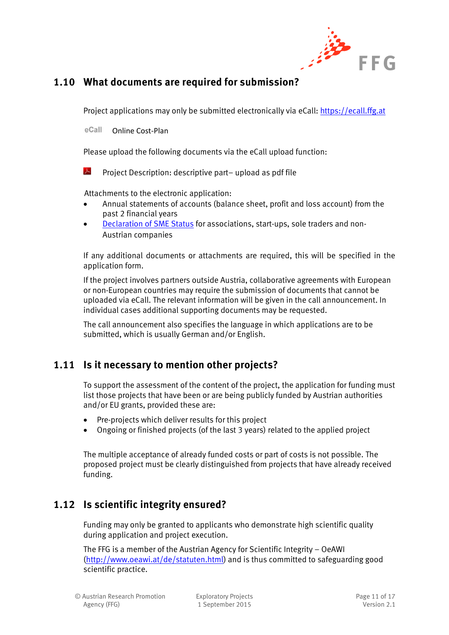

## <span id="page-10-0"></span>**1.10 What documents are required for submission?**

Project applications may only be submitted electronically via eCall[: https://ecall.ffg.at](https://ecall.ffg.at/)

eCall Online Cost-Plan

Please upload the following documents via the eCall upload function:

 $\lambda$ Project Description: descriptive part– upload as pdf file

Attachments to the electronic application:

- Annual statements of accounts (balance sheet, profit and loss account) from the past 2 financial years
- [Declaration of SME Status](https://www.ffg.at/sites/default/files/downloads/page/eidesstattliche_erklaerung_kmu_status.pdf) for associations, start-ups, sole traders and non-Austrian companies

If any additional documents or attachments are required, this will be specified in the application form.

If the project involves partners outside Austria, collaborative agreements with European or non-European countries may require the submission of documents that cannot be uploaded via eCall. The relevant information will be given in the call announcement. In individual cases additional supporting documents may be requested.

The call announcement also specifies the language in which applications are to be submitted, which is usually German and/or English.

## <span id="page-10-1"></span>**1.11 Is it necessary to mention other projects?**

To support the assessment of the content of the project, the application for funding must list those projects that have been or are being publicly funded by Austrian authorities and/or EU grants, provided these are:

- Pre-projects which deliver results for this project
- Ongoing or finished projects (of the last 3 years) related to the applied project

The multiple acceptance of already funded costs or part of costs is not possible. The proposed project must be clearly distinguished from projects that have already received funding.

## <span id="page-10-2"></span>**1.12 Is scientific integrity ensured?**

Funding may only be granted to applicants who demonstrate high scientific quality during application and project execution.

The FFG is a member of the Austrian Agency for Scientific Integrity – OeAWI [\(http://www.oeawi.at/de/statuten.html\)](http://www.oeawi.at/de/statuten.html) and is thus committed to safeguarding good scientific practice.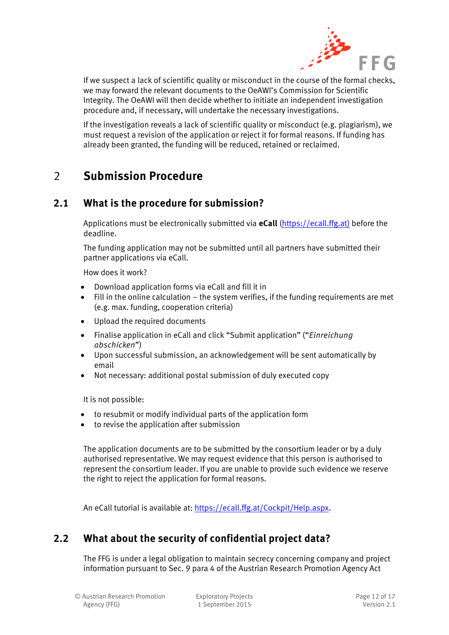

If we suspect a lack of scientific quality or misconduct in the course of the formal checks, we may forward the relevant documents to the OeAWI's Commission for Scientific Integrity. The OeAWI will then decide whether to initiate an independent investigation procedure and, if necessary, will undertake the necessary investigations.

If the investigation reveals a lack of scientific quality or misconduct (e.g. plagiarism), we must request a revision of the application or reject it for formal reasons. If funding has already been granted, the funding will be reduced, retained or reclaimed.

# <span id="page-11-0"></span>2 **Submission Procedure**

### <span id="page-11-1"></span>**2.1 What is the procedure for submission?**

Applications must be electronically submitted via **eCall** [\(https://ecall.ffg.at\)](https://ecall.ffg.at/) before the deadline.

The funding application may not be submitted until all partners have submitted their partner applications via eCall.

How does it work?

- Download application forms via eCall and fill it in
- $\bullet$  Fill in the online calculation the system verifies, if the funding requirements are met (e.g. max. funding, cooperation criteria)
- Upload the required documents
- Finalise application in eCall and click "Submit application" ("*Einreichung abschicken*")
- Upon successful submission, an acknowledgement will be sent automatically by email
- Not necessary: additional postal submission of duly executed copy

It is not possible:

- to resubmit or modify individual parts of the application form
- to revise the application after submission

The application documents are to be submitted by the consortium leader or by a duly authorised representative. We may request evidence that this person is authorised to represent the consortium leader. If you are unable to provide such evidence we reserve the right to reject the application for formal reasons.

An eCall tutorial is available at: [https://ecall.ffg.at/Cockpit/Help.aspx.](https://ecall.ffg.at/Cockpit/Help.aspx)

## <span id="page-11-2"></span>**2.2 What about the security of confidential project data?**

The FFG is under a legal obligation to maintain secrecy concerning company and project information pursuant to Sec. 9 para 4 of the Austrian Research Promotion Agency Act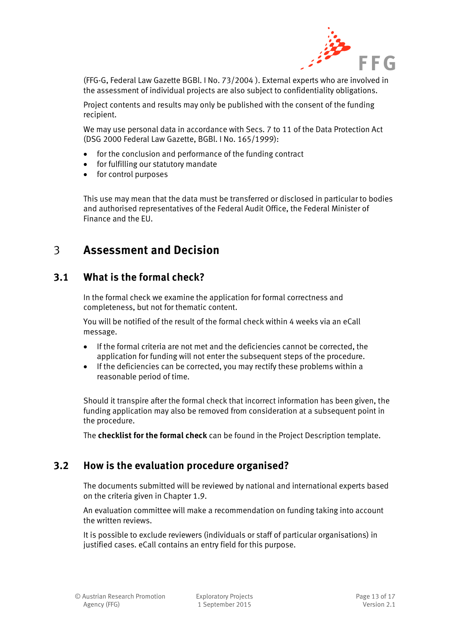

(FFG-G, Federal Law Gazette BGBl. I No. 73/2004 ). External experts who are involved in the assessment of individual projects are also subject to confidentiality obligations.

Project contents and results may only be published with the consent of the funding recipient.

We may use personal data in accordance with Secs. 7 to 11 of the Data Protection Act (DSG 2000 Federal Law Gazette, BGBl. I No. 165/1999):

- for the conclusion and performance of the funding contract
- for fulfilling our statutory mandate
- for control purposes

This use may mean that the data must be transferred or disclosed in particular to bodies and authorised representatives of the Federal Audit Office, the Federal Minister of Finance and the EU.

# <span id="page-12-0"></span>3 **Assessment and Decision**

### <span id="page-12-1"></span>**3.1 What is the formal check?**

In the formal check we examine the application for formal correctness and completeness, but not for thematic content.

You will be notified of the result of the formal check within 4 weeks via an eCall message.

- If the formal criteria are not met and the deficiencies cannot be corrected, the application for funding will not enter the subsequent steps of the procedure.
- If the deficiencies can be corrected, you may rectify these problems within a reasonable period of time.

Should it transpire after the formal check that incorrect information has been given, the funding application may also be removed from consideration at a subsequent point in the procedure.

The **checklist for the formal check** can be found in the Project Description template.

## <span id="page-12-2"></span>**3.2 How is the evaluation procedure organised?**

The documents submitted will be reviewed by national and international experts based on the criteria given in Chapter 1.9.

An evaluation committee will make a recommendation on funding taking into account the written reviews.

It is possible to exclude reviewers (individuals or staff of particular organisations) in justified cases. eCall contains an entry field for this purpose.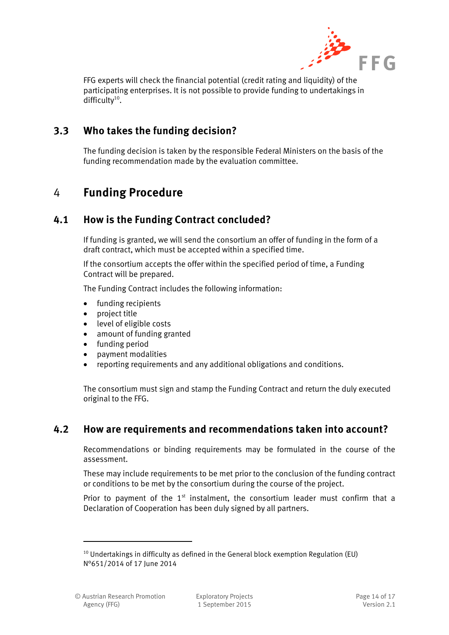

FFG experts will check the financial potential (credit rating and liquidity) of the participating enterprises. It is not possible to provide funding to undertakings in difficulty $10$ .

### <span id="page-13-0"></span>**3.3 Who takes the funding decision?**

The funding decision is taken by the responsible Federal Ministers on the basis of the funding recommendation made by the evaluation committee.

# <span id="page-13-1"></span>4 **Funding Procedure**

### <span id="page-13-2"></span>**4.1 How is the Funding Contract concluded?**

If funding is granted, we will send the consortium an offer of funding in the form of a draft contract, which must be accepted within a specified time.

If the consortium accepts the offer within the specified period of time, a Funding Contract will be prepared.

The Funding Contract includes the following information:

- funding recipients
- project title
- level of eligible costs
- amount of funding granted
- funding period
- payment modalities
- reporting requirements and any additional obligations and conditions.

The consortium must sign and stamp the Funding Contract and return the duly executed original to the FFG.

#### <span id="page-13-3"></span>**4.2 How are requirements and recommendations taken into account?**

Recommendations or binding requirements may be formulated in the course of the assessment.

These may include requirements to be met prior to the conclusion of the funding contract or conditions to be met by the consortium during the course of the project.

Prior to payment of the  $1<sup>st</sup>$  instalment, the consortium leader must confirm that a Declaration of Cooperation has been duly signed by all partners.

 $10$  Undertakings in difficulty as defined in the General block exemption Regulation (EU) N°651/2014 of 17 June 2014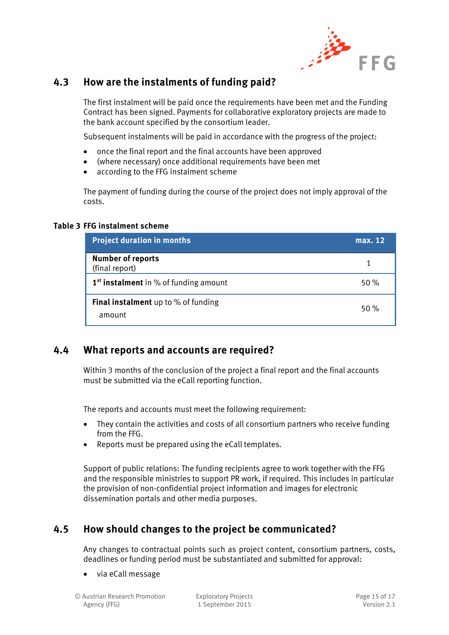

#### <span id="page-14-0"></span>**4.3 How are the instalments of funding paid?**

The first instalment will be paid once the requirements have been met and the Funding Contract has been signed. Payments for collaborative exploratory projects are made to the bank account specified by the consortium leader.

Subsequent instalments will be paid in accordance with the progress of the project:

- once the final report and the final accounts have been approved
- (where necessary) once additional requirements have been met
- according to the FFG instalment scheme

The payment of funding during the course of the project does not imply approval of the costs.

#### <span id="page-14-3"></span>**Table 3 FFG instalment scheme**

| <b>Project duration in months</b>                 | max. 12 |
|---------------------------------------------------|---------|
| <b>Number of reports</b><br>(final report)        | 1       |
| 1 <sup>st</sup> instalment in % of funding amount | 50%     |
| Final instalment up to % of funding<br>amount     | 50%     |

#### <span id="page-14-1"></span>**4.4 What reports and accounts are required?**

Within 3 months of the conclusion of the project a final report and the final accounts must be submitted via the eCall reporting function.

The reports and accounts must meet the following requirement:

- They contain the activities and costs of all consortium partners who receive funding from the FFG.
- Reports must be prepared using the eCall templates.

Support of public relations: The funding recipients agree to work together with the FFG and the responsible ministries to support PR work, if required. This includes in particular the provision of non-confidential project information and images for electronic dissemination portals and other media purposes.

## <span id="page-14-2"></span>**4.5 How should changes to the project be communicated?**

Any changes to contractual points such as project content, consortium partners, costs, deadlines or funding period must be substantiated and submitted for approval:

via eCall message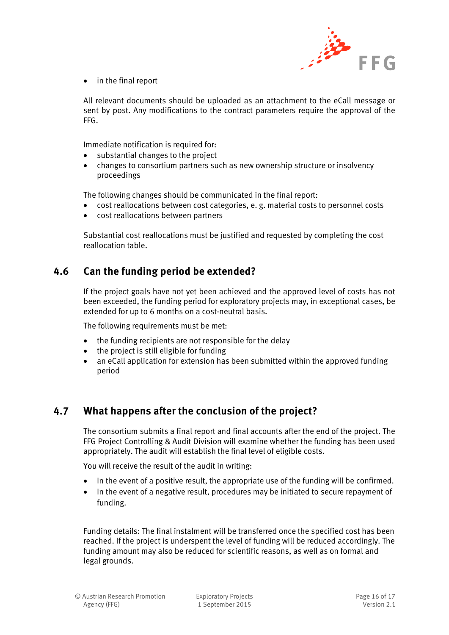

• in the final report

All relevant documents should be uploaded as an attachment to the eCall message or sent by post. Any modifications to the contract parameters require the approval of the FFG.

Immediate notification is required for:

- substantial changes to the project
- changes to consortium partners such as new ownership structure or insolvency proceedings

The following changes should be communicated in the final report:

- cost reallocations between cost categories, e. g. material costs to personnel costs
- cost reallocations between partners

Substantial cost reallocations must be justified and requested by completing the cost reallocation table.

#### <span id="page-15-0"></span>**4.6 Can the funding period be extended?**

If the project goals have not yet been achieved and the approved level of costs has not been exceeded, the funding period for exploratory projects may, in exceptional cases, be extended for up to 6 months on a cost-neutral basis.

The following requirements must be met:

- the funding recipients are not responsible for the delay
- the project is still eligible for funding
- an eCall application for extension has been submitted within the approved funding period

#### <span id="page-15-1"></span>**4.7 What happens after the conclusion of the project?**

The consortium submits a final report and final accounts after the end of the project. The FFG Project Controlling & Audit Division will examine whether the funding has been used appropriately. The audit will establish the final level of eligible costs.

You will receive the result of the audit in writing:

- In the event of a positive result, the appropriate use of the funding will be confirmed.
- In the event of a negative result, procedures may be initiated to secure repayment of funding.

Funding details: The final instalment will be transferred once the specified cost has been reached. If the project is underspent the level of funding will be reduced accordingly. The funding amount may also be reduced for scientific reasons, as well as on formal and legal grounds.